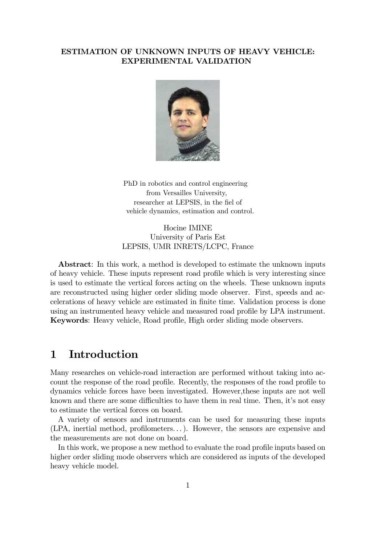#### ESTIMATION OF UNKNOWN INPUTS OF HEAVY VEHICLE: EXPERIMENTAL VALIDATION



PhD in robotics and control engineering from Versailles University, researcher at LEPSIS, in the fiel of vehicle dynamics, estimation and control.

Hocine IMINE University of Paris Est LEPSIS, UMR INRETS/LCPC, France

Abstract: In this work, a method is developed to estimate the unknown inputs of heavy vehicle. These inputs represent road profile which is very interesting since is used to estimate the vertical forces acting on the wheels. These unknown inputs are reconstructed using higher order sliding mode observer. First, speeds and accelerations of heavy vehicle are estimated in finite time. Validation process is done using an instrumented heavy vehicle and measured road profile by LPA instrument. Keywords: Heavy vehicle, Road profile, High order sliding mode observers.

# 1 Introduction

Many researches on vehicle-road interaction are performed without taking into account the response of the road profile. Recently, the responses of the road profile to dynamics vehicle forces have been investigated. However,these inputs are not well known and there are some difficulties to have them in real time. Then, it's not easy to estimate the vertical forces on board.

A variety of sensors and instruments can be used for measuring these inputs (LPA, inertial method, profilometers. . . ). However, the sensors are expensive and the measurements are not done on board.

In this work, we propose a new method to evaluate the road profile inputs based on higher order sliding mode observers which are considered as inputs of the developed heavy vehicle model.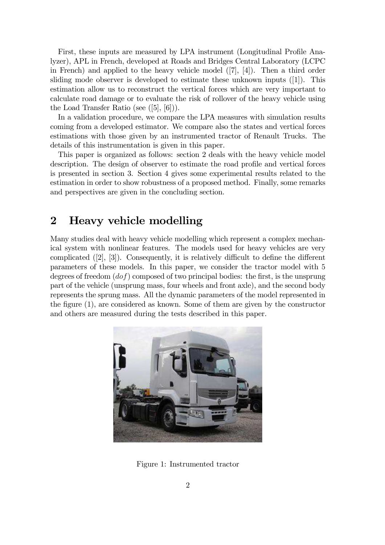First, these inputs are measured by LPA instrument (Longitudinal Profile Analyzer), APL in French, developed at Roads and Bridges Central Laboratory (LCPC in French) and applied to the heavy vehicle model ([7], [4]). Then a third order sliding mode observer is developed to estimate these unknown inputs ([1]). This estimation allow us to reconstruct the vertical forces which are very important to calculate road damage or to evaluate the risk of rollover of the heavy vehicle using the Load Transfer Ratio (see ([5], [6])).

In a validation procedure, we compare the LPA measures with simulation results coming from a developed estimator. We compare also the states and vertical forces estimations with those given by an instrumented tractor of Renault Trucks. The details of this instrumentation is given in this paper.

This paper is organized as follows: section 2 deals with the heavy vehicle model description. The design of observer to estimate the road profile and vertical forces is presented in section 3. Section 4 gives some experimental results related to the estimation in order to show robustness of a proposed method. Finally, some remarks and perspectives are given in the concluding section.

### 2 Heavy vehicle modelling

Many studies deal with heavy vehicle modelling which represent a complex mechanical system with nonlinear features. The models used for heavy vehicles are very complicated ([2], [3]). Consequently, it is relatively difficult to define the different parameters of these models. In this paper, we consider the tractor model with 5 degrees of freedom  $(dof)$  composed of two principal bodies: the first, is the unsprung part of the vehicle (unsprung mass, four wheels and front axle), and the second body represents the sprung mass. All the dynamic parameters of the model represented in the figure (1), are considered as known. Some of them are given by the constructor and others are measured during the tests described in this paper.



Figure 1: Instrumented tractor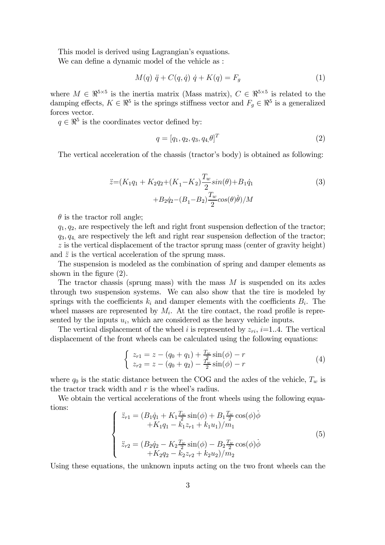This model is derived using Lagrangian's equations.

We can define a dynamic model of the vehicle as :

$$
M(q) \ddot{q} + C(q, \dot{q}) \dot{q} + K(q) = F_g \tag{1}
$$

where  $M \in \mathbb{R}^{5\times 5}$  is the inertia matrix (Mass matrix),  $C \in \mathbb{R}^{5\times 5}$  is related to the damping effects,  $K \in \mathbb{R}^5$  is the springs stiffness vector and  $F_g \in \mathbb{R}^5$  is a generalized forces vector.

 $q \in \mathbb{R}^5$  is the coordinates vector defined by:

$$
q = [q_1, q_2, q_3, q_4, \theta]^T
$$
\n(2)

The vertical acceleration of the chassis (tractor's body) is obtained as following:

$$
\ddot{z} = (K_1 q_1 + K_2 q_2 + (K_1 - K_2) \frac{T_w}{2} \sin(\theta) + B_1 \dot{q}_1 + B_2 \dot{q}_2 - (B_1 - B_2) \frac{T_w}{2} \cos(\theta) \dot{\theta}) / M
$$
\n(3)

 $\theta$  is the tractor roll angle;

 $q_1, q_2$ , are respectively the left and right front suspension deflection of the tractor;  $q_3, q_4$ , are respectively the left and right rear suspension deflection of the tractor;  $z$  is the vertical displacement of the tractor sprung mass (center of gravity height) and  $\ddot{z}$  is the vertical acceleration of the sprung mass.

The suspension is modeled as the combination of spring and damper elements as shown in the figure (2).

The tractor chassis (sprung mass) with the mass  $M$  is suspended on its axles through two suspension systems. We can also show that the tire is modeled by springs with the coefficients  $k_i$  and damper elements with the coefficients  $B_i$ . The wheel masses are represented by  $M_i$ . At the tire contact, the road profile is represented by the inputs  $u_i$ , which are considered as the heavy vehicle inputs.

The vertical displacement of the wheel i is represented by  $z_{ri}$ , i=1..4. The vertical displacement of the front wheels can be calculated using the following equations:

$$
\begin{cases}\n z_{r1} = z - (q_0 + q_1) + \frac{T_w}{2} \sin(\phi) - r \\
 z_{r2} = z - (q_0 + q_2) - \frac{T_w}{2} \sin(\phi) - r\n\end{cases} \tag{4}
$$

where  $q_0$  is the static distance between the COG and the axles of the vehicle,  $T_w$  is the tractor track width and  $r$  is the wheel's radius.

We obtain the vertical accelerations of the front wheels using the following equations:

$$
\begin{cases}\n\ddot{z}_{r1} = (B_1\dot{q}_1 + K_1\frac{T_w}{2}\sin(\phi) + B_1\frac{T_w}{2}\cos(\phi)\dot{\phi} \\
+ K_1q_1 - k_1z_{r1} + k_1u_1)/m_1\n\end{cases}
$$
\n
$$
\ddot{z}_{r2} = (B_2\dot{q}_2 - K_2\frac{T_w}{2}\sin(\phi) - B_2\frac{T_w}{2}\cos(\phi)\dot{\phi} \\
+ K_2q_2 - k_2z_{r2} + k_2u_2)/m_2\n\tag{5}
$$

Using these equations, the unknown inputs acting on the two front wheels can the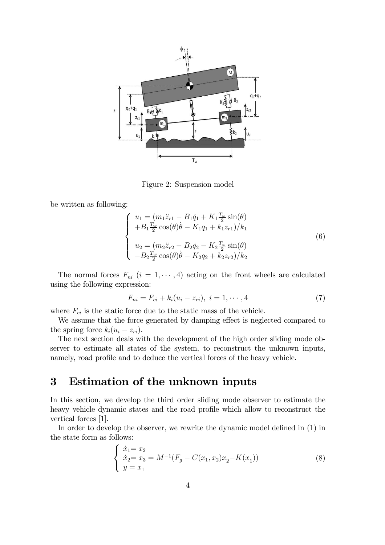

Figure 2: Suspension model

be written as following:

$$
\begin{cases}\n u_1 = (m_1 \ddot{z}_{r1} - B_1 \dot{q}_1 + K_1 \frac{T_w}{2} \sin(\theta) \\
 + B_1 \frac{T_w}{2} \cos(\theta) \dot{\theta} - K_1 q_1 + k_1 z_{r1})/k_1 \\
 u_2 = (m_2 \ddot{z}_{r2} - B_2 \dot{q}_2 - K_2 \frac{T_w}{2} \sin(\theta) \\
 - B_2 \frac{T_w}{2} \cos(\theta) \dot{\theta} - K_2 q_2 + k_2 z_{r2})/k_2\n\end{cases}
$$
\n(6)

The normal forces  $F_{ni}$   $(i = 1, \dots, 4)$  acting on the front wheels are calculated using the following expression:

$$
F_{ni} = F_{ci} + k_i(u_i - z_{ri}), \ i = 1, \cdots, 4
$$
 (7)

where  $F_{ci}$  is the static force due to the static mass of the vehicle.

We assume that the force generated by damping effect is neglected compared to the spring force  $k_i(u_i - z_{ri}).$ 

The next section deals with the development of the high order sliding mode observer to estimate all states of the system, to reconstruct the unknown inputs, namely, road profile and to deduce the vertical forces of the heavy vehicle.

# 3 Estimation of the unknown inputs

In this section, we develop the third order sliding mode observer to estimate the heavy vehicle dynamic states and the road profile which allow to reconstruct the vertical forces [1].

In order to develop the observer, we rewrite the dynamic model defined in (1) in the state form as follows:

$$
\begin{cases}\n\dot{x}_1 = x_2 \\
\dot{x}_2 = x_3 = M^{-1}(F_g - C(x_1, x_2)x_2 - K(x_1)) \\
y = x_1\n\end{cases} (8)
$$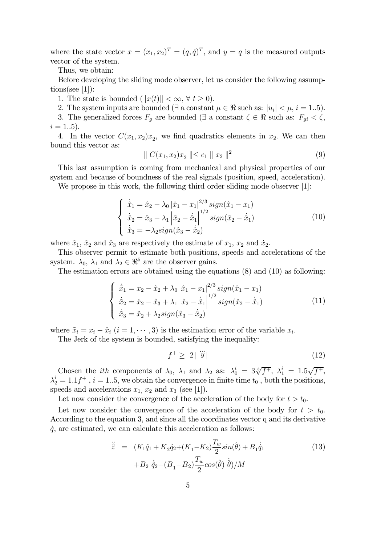where the state vector  $x = (x_1, x_2)^T = (q, \dot{q})^T$ , and  $y = q$  is the measured outputs vector of the system.

Thus, we obtain:

Before developing the sliding mode observer, let us consider the following assumptions(see [1]):

1. The state is bounded  $(\Vert x(t) \Vert < \infty, \forall t \geq 0)$ .

2. The system inputs are bounded ( $\exists$  a constant  $\mu \in \Re$  such as:  $|u_i| < \mu$ ,  $i = 1..5$ ).

3. The generalized forces  $F_g$  are bounded ( $\exists$  a constant  $\zeta \in \Re$  such as:  $F_{gi} < \zeta$ ,  $i = 1..5$ .

4. In the vector  $C(x_1, x_2)x_2$ , we find quadratics elements in  $x_2$ . We can then bound this vector as:

$$
\| C(x_1, x_2)x_2 \| \le c_1 \| x_2 \|^2 \tag{9}
$$

This last assumption is coming from mechanical and physical properties of our system and because of boundness of the real signals (position, speed, acceleration).

We propose in this work, the following third order sliding mode observer [1]:

$$
\begin{cases}\n\dot{\hat{x}}_1 = \hat{x}_2 - \lambda_0 |\hat{x}_1 - x_1|^{2/3} sign(\hat{x}_1 - x_1) \\
\dot{\hat{x}}_2 = \hat{x}_3 - \lambda_1 |\hat{x}_2 - \dot{\hat{x}}_1|^{1/2} sign(\hat{x}_2 - \dot{\hat{x}}_1) \\
\dot{\hat{x}}_3 = -\lambda_2 sign(\hat{x}_3 - \dot{\hat{x}}_2)\n\end{cases}
$$
\n(10)

where  $\hat{x}_1$ ,  $\hat{x}_2$  and  $\hat{x}_3$  are respectively the estimate of  $x_1$ ,  $x_2$  and  $\hat{x}_2$ .

This observer permit to estimate both positions, speeds and accelerations of the system.  $\lambda_0$ ,  $\lambda_1$  and  $\lambda_2 \in \mathbb{R}^5$  are the observer gains.

The estimation errors are obtained using the equations (8) and (10) as following:

$$
\begin{cases} \n\dot{\tilde{x}}_1 = x_2 - \hat{x}_2 + \lambda_0 |\hat{x}_1 - x_1|^{2/3} sign(\hat{x}_1 - x_1) \\
\dot{\tilde{x}}_2 = \dot{x}_2 - \hat{x}_3 + \lambda_1 |\hat{x}_2 - \dot{\hat{x}}_1|^{1/2} sign(\hat{x}_2 - \dot{\hat{x}}_1) \\
\dot{\tilde{x}}_3 = \ddot{x}_2 + \lambda_2 sign(\hat{x}_3 - \dot{\hat{x}}_2) \n\end{cases} \n\tag{11}
$$

where  $\tilde{x}_i = x_i - \hat{x}_i$   $(i = 1, \dots, 3)$  is the estimation error of the variable  $x_i$ .

The Jerk of the system is bounded, satisfying the inequality:

$$
f^+ \geq 2 \mid \dddot{y} \mid \tag{12}
$$

Chosen the *ith* components of  $\lambda_0$ ,  $\lambda_1$  and  $\lambda_2$  as:  $\lambda_0^i = 3\sqrt[3]{f^+}$ ,  $\lambda_1^i = 1.5\sqrt{f^+}$ ,  $\lambda_2^i = 1.1 f^+$ ,  $i = 1..5$ , we obtain the convergence in finite time  $t_0$ , both the positions, speeds and accelerations  $x_1$ ,  $x_2$  and  $x_3$  (see [1]).

Let now consider the convergence of the acceleration of the body for  $t > t_0$ .

Let now consider the convergence of the acceleration of the body for  $t > t_0$ . According to the equation 3, and since all the coordinates vector q and its derivative  $\dot{q}$ , are estimated, we can calculate this acceleration as follows:

$$
\ddot{\hat{z}} = (K_1 \hat{q}_1 + K_2 \hat{q}_2 + (K_1 - K_2) \frac{T_w}{2} \sin(\hat{\theta}) + B_1 \dot{\hat{q}}_1 + B_2 \dot{\hat{q}}_2 - (B_1 - B_2) \frac{T_w}{2} \cos(\hat{\theta}) \dot{\hat{\theta}})/M
$$
\n(13)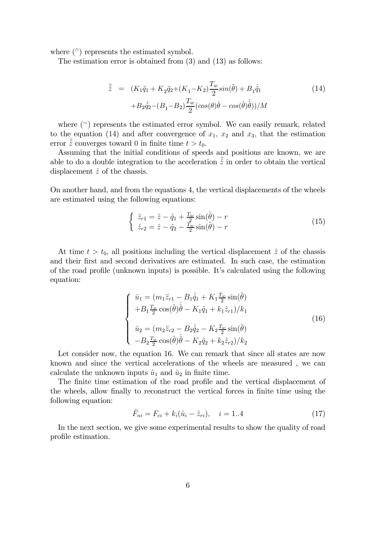where  $(^\wedge)$  represents the estimated symbol.

The estimation error is obtained from (3) and (13) as follows:

$$
\ddot{z} = (K_1 \tilde{q}_1 + K_2 \tilde{q}_2 + (K_1 - K_2) \frac{T_w}{2} \sin(\tilde{\theta}) + B_1 \dot{\tilde{q}}_1 + B_2 \dot{\tilde{q}}_2 - (B_1 - B_2) \frac{T_w}{2} (\cos(\theta)\dot{\theta} - \cos(\tilde{\theta})\dot{\tilde{\theta}}))/M
$$
\n(14)

where (<sup>∼</sup>) represents the estimated error symbol. We can easily remark, related to the equation (14) and after convergence of  $x_1, x_2$  and  $x_3$ , that the estimation error  $\ddot{z}$  converges toward 0 in finite time  $t > t_0$ .

Assuming that the initial conditions of speeds and positions are known, we are able to do a double integration to the acceleration  $\hat{z}$  in order to obtain the vertical displacement  $\hat{z}$  of the chassis.

On another hand, and from the equations 4, the vertical displacements of the wheels are estimated using the following equations:

$$
\begin{cases} \n\hat{z}_{r1} = \hat{z} - \hat{q}_1 + \frac{T_w}{2} \sin(\hat{\theta}) - r \\
\hat{z}_{r2} = \hat{z} - \hat{q}_2 - \frac{T_w}{2} \sin(\hat{\theta}) - r\n\end{cases} \n\tag{15}
$$

At time  $t > t_0$ , all positions including the vertical displacement  $\hat{z}$  of the chassis and their first and second derivatives are estimated. In such case, the estimation of the road profile (unknown inputs) is possible. It's calculated using the following equation:

$$
\begin{cases}\n\hat{u}_1 = (m_1 \ddot{z}_{r1} - B_1 \dot{\hat{q}}_1 + K_1 \frac{T_w}{2} \sin(\hat{\theta}) \\
+ B_1 \frac{T_w}{2} \cos(\hat{\theta}) \dot{\hat{\theta}} - K_1 \hat{q}_1 + k_1 \hat{z}_{r1})/k_1 \\
\hat{u}_2 = (m_2 \ddot{z}_{r2} - B_2 \dot{\hat{q}}_2 - K_2 \frac{T_w}{2} \sin(\hat{\theta}) \\
-B_2 \frac{T_w}{2} \cos(\hat{\theta}) \dot{\hat{\theta}} - K_2 \hat{q}_2 + k_2 \hat{z}_{r2})/k_2\n\end{cases}
$$
\n(16)

Let consider now, the equation 16. We can remark that since all states are now known and since the vertical accelerations of the wheels are measured , we can calculate the unknown inputs  $\hat{u}_1$  and  $\hat{u}_2$  in finite time.

The finite time estimation of the road profile and the vertical displacement of the wheels, allow finally to reconstruct the vertical forces in finite time using the following equation:

$$
\hat{F}_{ni} = F_{ci} + k_i(\hat{u}_i - \hat{z}_{ri}), \quad i = 1..4
$$
\n(17)

In the next section, we give some experimental results to show the quality of road profile estimation.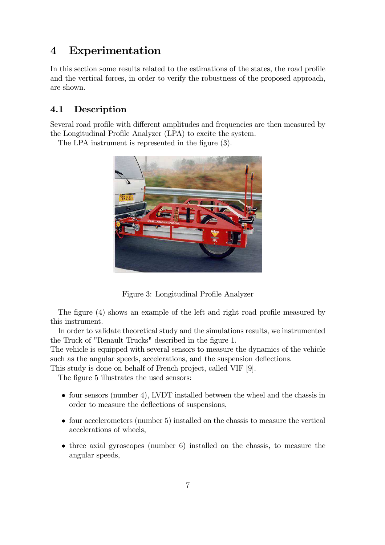# 4 Experimentation

In this section some results related to the estimations of the states, the road profile and the vertical forces, in order to verify the robustness of the proposed approach, are shown.

### 4.1 Description

Several road profile with different amplitudes and frequencies are then measured by the Longitudinal Profile Analyzer (LPA) to excite the system.

The LPA instrument is represented in the figure (3).



Figure 3: Longitudinal Profile Analyzer

The figure (4) shows an example of the left and right road profile measured by this instrument.

In order to validate theoretical study and the simulations results, we instrumented the Truck of "Renault Trucks" described in the figure 1.

The vehicle is equipped with several sensors to measure the dynamics of the vehicle such as the angular speeds, accelerations, and the suspension deflections.

This study is done on behalf of French project, called VIF [9].

The figure 5 illustrates the used sensors:

- four sensors (number 4), LVDT installed between the wheel and the chassis in order to measure the deflections of suspensions,
- four accelerometers (number 5) installed on the chassis to measure the vertical accelerations of wheels,
- three axial gyroscopes (number 6) installed on the chassis, to measure the angular speeds,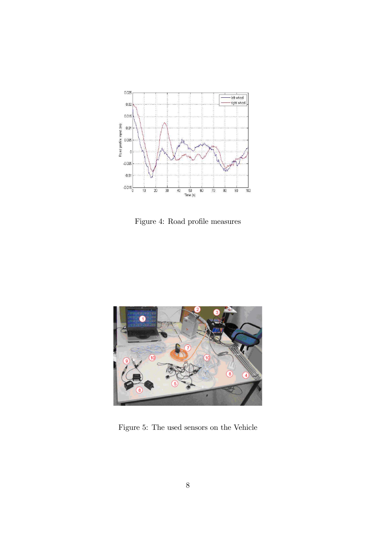

Figure 4: Road profile measures



Figure 5: The used sensors on the Vehicle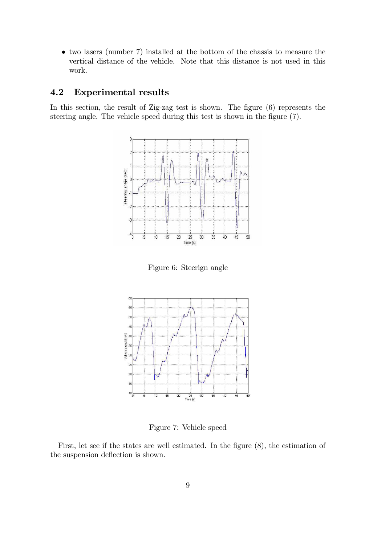• two lasers (number 7) installed at the bottom of the chassis to measure the vertical distance of the vehicle. Note that this distance is not used in this work.

#### 4.2 Experimental results

In this section, the result of Zig-zag test is shown. The figure  $(6)$  represents the steering angle. The vehicle speed during this test is shown in the figure (7).



Figure 6: Steerign angle



Figure 7: Vehicle speed

First, let see if the states are well estimated. In the figure (8), the estimation of the suspension deflection is shown.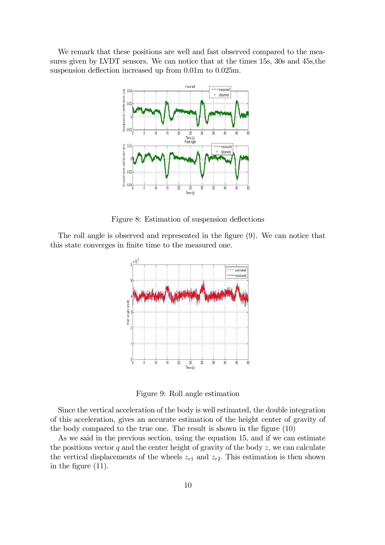We remark that these positions are well and fast observed compared to the measures given by LVDT sensors. We can notice that at the times 15s, 30s and 45s,the suspension deflection increased up from 0.01m to 0.025m.



Figure 8: Estimation of suspension deflections

The roll angle is observed and represented in the figure (9). We can notice that this state converges in finite time to the measured one.



Figure 9: Roll angle estimation

Since the vertical acceleration of the body is well estimated, the double integration of this acceleration, gives an accurate estimation of the height center of gravity of the body compared to the true one. The result is shown in the figure (10)

As we said in the previous section, using the equation 15, and if we can estimate the positions vector  $q$  and the center height of gravity of the body  $z$ , we can calculate the vertical displacements of the wheels  $z_{r1}$  and  $z_{r2}$ . This estimation is then shown in the figure (11).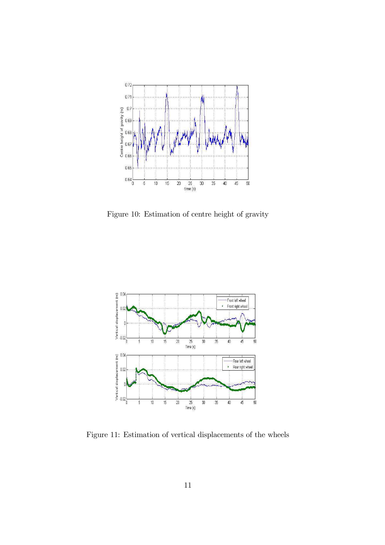

Figure 10: Estimation of centre height of gravity



Figure 11: Estimation of vertical displacements of the wheels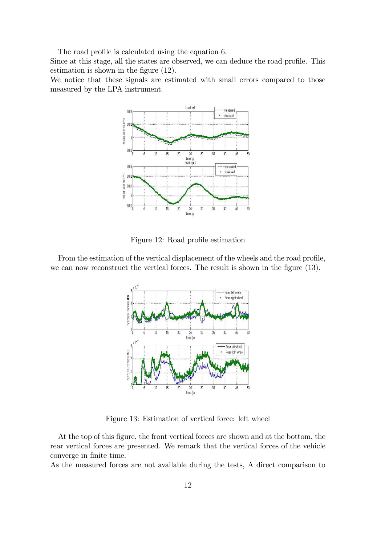The road profile is calculated using the equation 6.

Since at this stage, all the states are observed, we can deduce the road profile. This estimation is shown in the figure (12).

We notice that these signals are estimated with small errors compared to those measured by the LPA instrument.



Figure 12: Road profile estimation

From the estimation of the vertical displacement of the wheels and the road profile, we can now reconstruct the vertical forces. The result is shown in the figure (13).



Figure 13: Estimation of vertical force: left wheel

At the top of this figure, the front vertical forces are shown and at the bottom, the rear vertical forces are presented. We remark that the vertical forces of the vehicle converge in finite time.

As the measured forces are not available during the tests, A direct comparison to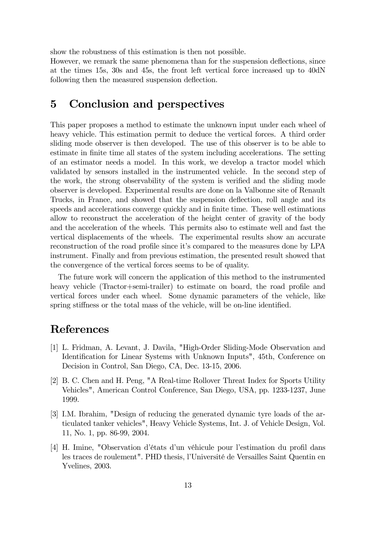show the robustness of this estimation is then not possible.

However, we remark the same phenomena than for the suspension deflections, since at the times 15s, 30s and 45s, the front left vertical force increased up to 40dN following then the measured suspension deflection.

# 5 Conclusion and perspectives

This paper proposes a method to estimate the unknown input under each wheel of heavy vehicle. This estimation permit to deduce the vertical forces. A third order sliding mode observer is then developed. The use of this observer is to be able to estimate in finite time all states of the system including accelerations. The setting of an estimator needs a model. In this work, we develop a tractor model which validated by sensors installed in the instrumented vehicle. In the second step of the work, the strong observability of the system is verified and the sliding mode observer is developed. Experimental results are done on la Valbonne site of Renault Trucks, in France, and showed that the suspension deflection, roll angle and its speeds and accelerations converge quickly and in finite time. These well estimations allow to reconstruct the acceleration of the height center of gravity of the body and the acceleration of the wheels. This permits also to estimate well and fast the vertical displacements of the wheels. The experimental results show an accurate reconstruction of the road profile since it's compared to the measures done by LPA instrument. Finally and from previous estimation, the presented result showed that the convergence of the vertical forces seems to be of quality.

The future work will concern the application of this method to the instrumented heavy vehicle (Tractor+semi-trailer) to estimate on board, the road profile and vertical forces under each wheel. Some dynamic parameters of the vehicle, like spring stiffness or the total mass of the vehicle, will be on-line identified.

# References

- [1] L. Fridman, A. Levant, J. Davila, "High-Order Sliding-Mode Observation and Identification for Linear Systems with Unknown Inputs", 45th, Conference on Decision in Control, San Diego, CA, Dec. 13-15, 2006.
- [2] B. C. Chen and H. Peng, "A Real-time Rollover Threat Index for Sports Utility Vehicles", American Control Conference, San Diego, USA, pp. 1233-1237, June 1999.
- [3] I.M. Ibrahim, "Design of reducing the generated dynamic tyre loads of the articulated tanker vehicles", Heavy Vehicle Systems, Int. J. of Vehicle Design, Vol. 11, No. 1, pp. 86-99, 2004.
- [4] H. Imine, "Observation d'états d'un véhicule pour l'estimation du profil dans les traces de roulement". PHD thesis, l'Université de Versailles Saint Quentin en Yvelines, 2003.